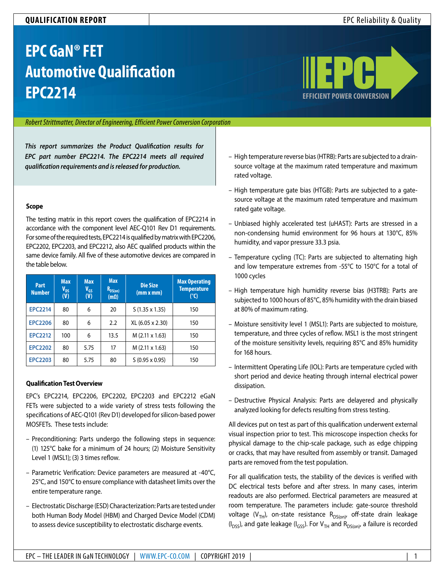# **QUALIFICATION REPORT** EPC Reliability & Quality

# **EPC GaN® FET Automotive Qualification EPC2214 [EFFICIENT POWER CONVERSION](http://www.epc-co.com)**



#### *Robert Strittmatter, Director of Engineering, Efficient Power Conversion Corporation*

*This report summarizes the Product Qualification results for EPC part number EPC2214. The EPC2214 meets all required qualification requirements and is released for production.*

#### **Scope**

The testing matrix in this report covers the qualification of EPC2214 in accordance with the component level AEC-Q101 Rev D1 requirements. For some of the required tests, EPC2214 is qualified by matrix with EPC2206, EPC2202, EPC2203, and EPC2212, also AEC qualified products within the same device family. All five of these automotive devices are compared in the table below.

| Part<br><b>Number</b> | <b>Max</b><br>V <sub>ds</sub><br>(V) | <b>Max</b><br>$V_{GS}$<br>(V) | <b>Max</b><br>$R_{DS(on)}$<br>$(m\Omega)$ | <b>Die Size</b><br>(mm x mm) | <b>Max Operating</b><br><b>Temperature</b><br>(°C) |
|-----------------------|--------------------------------------|-------------------------------|-------------------------------------------|------------------------------|----------------------------------------------------|
| <b>EPC2214</b>        | 80                                   | 6                             | 20                                        | $S(1.35 \times 1.35)$        | 150                                                |
| <b>EPC2206</b>        | 80                                   | 6                             | 2.2                                       | XL (6.05 x 2.30)             | 150                                                |
| <b>EPC2212</b>        | 100                                  | 6                             | 13.5                                      | $M$ (2.11 x 1.63)            | 150                                                |
| <b>EPC2202</b>        | 80                                   | 5.75                          | 17                                        | M (2.11 x 1.63)              | 150                                                |
| <b>EPC2203</b>        | 80                                   | 5.75                          | 80                                        | $S(0.95 \times 0.95)$        | 150                                                |

#### **Qualification Test Overview**

EPC's EPC2214, EPC2206, EPC2202, EPC2203 and EPC2212 eGaN FETs were subjected to a wide variety of stress tests following the specifications of AEC-Q101 (Rev D1) developed for silicon-based power MOSFETs. These tests include:

- Preconditioning: Parts undergo the following steps in sequence: (1) 125°C bake for a minimum of 24 hours; (2) Moisture Sensitivity Level 1 (MSL1); (3) 3 times reflow.
- Parametric Verification: Device parameters are measured at -40°C, 25°C, and 150°C to ensure compliance with datasheet limits over the entire temperature range.
- Electrostatic Discharge (ESD) Characterization: Parts are tested under both Human Body Model (HBM) and Charged Device Model (CDM) to assess device susceptibility to electrostatic discharge events.
- High temperature reverse bias (HTRB): Parts are subjected to a drainsource voltage at the maximum rated temperature and maximum rated voltage.
- High temperature gate bias (HTGB): Parts are subjected to a gatesource voltage at the maximum rated temperature and maximum rated gate voltage.
- Unbiased highly accelerated test (uHAST): Parts are stressed in a non-condensing humid environment for 96 hours at 130°C, 85% humidity, and vapor pressure 33.3 psia.
- Temperature cycling (TC): Parts are subjected to alternating high and low temperature extremes from -55°C to 150°C for a total of 1000 cycles
- High temperature high humidity reverse bias (H3TRB): Parts are subjected to 1000 hours of 85°C, 85% humidity with the drain biased at 80% of maximum rating.
- Moisture sensitivity level 1 (MSL1): Parts are subjected to moisture, temperature, and three cycles of reflow. MSL1 is the most stringent of the moisture sensitivity levels, requiring 85°C and 85% humidity for 168 hours.
- Intermittent Operating Life (IOL): Parts are temperature cycled with short period and device heating through internal electrical power dissipation.
- Destructive Physical Analysis: Parts are delayered and physically analyzed looking for defects resulting from stress testing.

All devices put on test as part of this qualification underwent external visual inspection prior to test. This microscope inspection checks for physical damage to the chip-scale package, such as edge chipping or cracks, that may have resulted from assembly or transit. Damaged parts are removed from the test population.

For all qualification tests, the stability of the devices is verified with DC electrical tests before and after stress. In many cases, interim readouts are also performed. Electrical parameters are measured at room temperature. The parameters include: gate-source threshold voltage (V<sub>TH</sub>), on-state resistance R<sub>DS(on)</sub>, off-state drain leakage  $(I_{DSS})$ , and gate leakage ( $I_{GSS}$ ). For  $V_{TH}$  and  $R_{DS(0n)}$ , a failure is recorded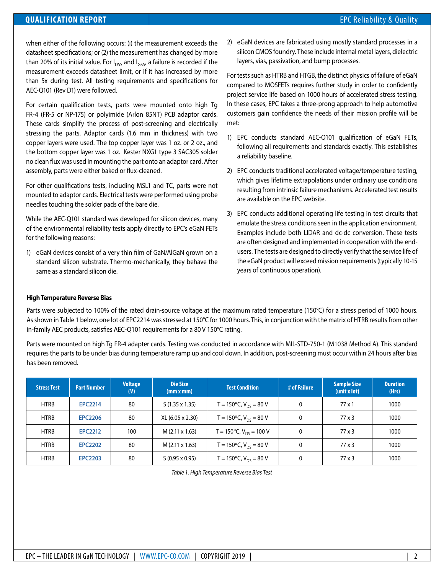# **QUALIFICATION REPORT Example 20 and 20 and 20 and 20 and 20 and 20 and 20 and 20 and 20 and 20 and 20 and 20 and 20 and 20 and 20 and 20 and 20 and 20 and 20 and 20 and 20 and 20 and 20 and 20 and 20 and 20 and 20 and 2**

when either of the following occurs: (i) the measurement exceeds the datasheet specifications; or (2) the measurement has changed by more than 20% of its initial value. For  $I_{DSS}$  and  $I_{GSS}$ , a failure is recorded if the measurement exceeds datasheet limit, or if it has increased by more than 5x during test. All testing requirements and specifications for AEC-Q101 (Rev D1) were followed.

For certain qualification tests, parts were mounted onto high Tg FR-4 (FR-5 or NP-175) or polyimide (Arlon 85NT) PCB adaptor cards. These cards simplify the process of post-screening and electrically stressing the parts. Adaptor cards (1.6 mm in thickness) with two copper layers were used. The top copper layer was 1 oz. or 2 oz., and the bottom copper layer was 1 oz. Kester NXG1 type 3 SAC305 solder no clean flux was used in mounting the part onto an adaptor card. After assembly, parts were either baked or flux-cleaned.

For other qualifications tests, including MSL1 and TC, parts were not mounted to adaptor cards. Electrical tests were performed using probe needles touching the solder pads of the bare die.

While the AEC-Q101 standard was developed for silicon devices, many of the environmental reliability tests apply directly to EPC's eGaN FETs for the following reasons:

1) eGaN devices consist of a very thin film of GaN/AlGaN grown on a standard silicon substrate. Thermo-mechanically, they behave the same as a standard silicon die.

2) eGaN devices are fabricated using mostly standard processes in a silicon CMOS foundry. These include internal metal layers, dielectric layers, vias, passivation, and bump processes.

For tests such as HTRB and HTGB, the distinct physics of failure of eGaN compared to MOSFETs requires further study in order to confidently project service life based on 1000 hours of accelerated stress testing. In these cases, EPC takes a three-prong approach to help automotive customers gain confidence the needs of their mission profile will be met:

- 1) EPC conducts standard AEC-Q101 qualification of eGaN FETs, following all requirements and standards exactly. This establishes a reliability baseline.
- 2) EPC conducts traditional accelerated voltage/temperature testing, which gives lifetime extrapolations under ordinary use conditions resulting from intrinsic failure mechanisms. Accelerated test results are available on the EPC website.
- 3) EPC conducts additional operating life testing in test circuits that emulate the stress conditions seen in the application environment. Examples include both LIDAR and dc-dc conversion. These tests are often designed and implemented in cooperation with the endusers. The tests are designed to directly verify that the service life of the eGaN product will exceed mission requirements (typically 10-15 years of continuous operation).

#### **High Temperature Reverse Bias**

Parts were subjected to 100% of the rated drain-source voltage at the maximum rated temperature (150°C) for a stress period of 1000 hours. As shown in Table 1 below, one lot of EPC2214 was stressed at 150°C for 1000 hours. This, in conjunction with the matrix of HTRB results from other in-family AEC products, satisfies AEC-Q101 requirements for a 80 V 150°C rating.

Parts were mounted on high Tg FR-4 adapter cards. Testing was conducted in accordance with MIL-STD-750-1 (M1038 Method A). This standard requires the parts to be under bias during temperature ramp up and cool down. In addition, post-screening must occur within 24 hours after bias has been removed.

| <b>Stress Test</b> | <b>Part Number</b> | <b>Voltage</b><br>(V) | <b>Die Size</b><br>(mm x mm) | <b>Test Condition</b>                        | # of Failure | <b>Sample Size</b><br>$(\text{unit } x \text{ lot})$ | <b>Duration</b><br>(Hrs) |
|--------------------|--------------------|-----------------------|------------------------------|----------------------------------------------|--------------|------------------------------------------------------|--------------------------|
| <b>HTRB</b>        | <b>EPC2214</b>     | 80                    | $S(1.35 \times 1.35)$        | T = 150 $\degree$ C, V <sub>DS</sub> = 80 V  | 0            | $77 \times 1$                                        | 1000                     |
| <b>HTRB</b>        | <b>EPC2206</b>     | 80                    | XL (6.05 x 2.30)             | T = 150 $^{\circ}$ C, V <sub>DS</sub> = 80 V | 0            | $77 \times 3$                                        | 1000                     |
| <b>HTRB</b>        | <b>EPC2212</b>     | 100                   | M (2.11 x 1.63)              | T = 150 $\degree$ C, V <sub>DS</sub> = 100 V |              | $77 \times 3$                                        | 1000                     |
| <b>HTRB</b>        | <b>EPC2202</b>     | 80                    | M (2.11 x 1.63)              | T = 150 $\degree$ C, V <sub>DS</sub> = 80 V  |              | 77x3                                                 | 1000                     |
| <b>HTRB</b>        | <b>EPC2203</b>     | 80                    | $S(0.95 \times 0.95)$        | T = 150 $^{\circ}$ C, V <sub>DS</sub> = 80 V |              | $77 \times 3$                                        | 1000                     |

*Table 1. High Temperature Reverse Bias Test*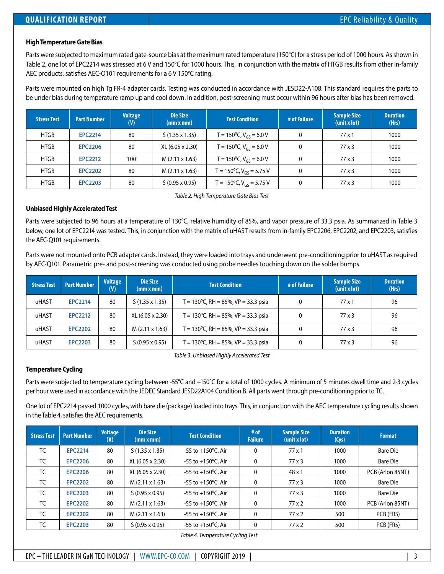# **High Temperature Gate Bias**

Parts were subjected to maximum rated gate-source bias at the maximum rated temperature (150°C) for a stress period of 1000 hours. As shown in Table 2, one lot of EPC2214 was stressed at 6 V and 150°C for 1000 hours. This, in conjunction with the matrix of HTGB results from other in-family AEC products, satisfies AEC-Q101 requirements for a 6 V 150°C rating.

Parts were mounted on high Tg FR-4 adapter cards. Testing was conducted in accordance with JESD22-A108. This standard requires the parts to be under bias during temperature ramp up and cool down. In addition, post-screening must occur within 96 hours after bias has been removed.

| <b>Stress Test</b> | <b>Part Number</b> | <b>Voltage</b><br>(V) | Die Size<br>(mm x mm) | <b>Test Condition</b>                         | # of Failure | <b>Sample Size</b><br>$(\text{unit } x \text{ lot})$ | <b>Duration</b><br>(Hrs) |
|--------------------|--------------------|-----------------------|-----------------------|-----------------------------------------------|--------------|------------------------------------------------------|--------------------------|
| <b>HTGB</b>        | <b>EPC2214</b>     | 80                    | $S(1.35 \times 1.35)$ | T = 150°C, $V_{GS}$ = 6.0 V                   |              | $77 \times 1$                                        | 1000                     |
| <b>HTGB</b>        | <b>EPC2206</b>     | 80                    | XL (6.05 x 2.30)      | $T = 150^{\circ}$ C, V <sub>GS</sub> = 6.0 V  |              | $77 \times 3$                                        | 1000                     |
| <b>HTGB</b>        | <b>EPC2212</b>     | 100                   | $M(2.11 \times 1.63)$ | T = 150 $\degree$ C, V <sub>GS</sub> = 6.0 V  |              | 77x3                                                 | 1000                     |
| <b>HTGB</b>        | <b>EPC2202</b>     | 80                    | $M(2.11 \times 1.63)$ | T = 150 $\degree$ C, V <sub>GS</sub> = 5.75 V |              | $77 \times 3$                                        | 1000                     |
| <b>HTGB</b>        | <b>EPC2203</b>     | 80                    | $S(0.95 \times 0.95)$ | T = 150 $\degree$ C, V <sub>GS</sub> = 5.75 V |              | $77 \times 3$                                        | 1000                     |

*Table 2. High Temperature Gate Bias Test*

### **Unbiased Highly Accelerated Test**

Parts were subjected to 96 hours at a temperature of 130°C, relative humidity of 85%, and vapor pressure of 33.3 psia. As summarized in Table 3 below, one lot of EPC2214 was tested. This, in conjunction with the matrix of uHAST results from in-family EPC2206, EPC2202, and EPC2203, satisfies the AEC-Q101 requirements.

Parts were not mounted onto PCB adapter cards. Instead, they were loaded into trays and underwent pre-conditioning prior to uHAST as required by AEC-Q101. Parametric pre- and post-screening was conducted using probe needles touching down on the solder bumps.

| <b>Stress Test</b> | <b>Part Number</b> | <b>Voltage</b><br>(V) | Die Size<br>(mm x mm) | <b>Test Condition</b>                         | # of Failure | <b>Sample Size</b><br>(unit x lot) | <b>Duration</b><br>(Hrs) |
|--------------------|--------------------|-----------------------|-----------------------|-----------------------------------------------|--------------|------------------------------------|--------------------------|
| uHAST              | <b>EPC2214</b>     | 80                    | $S(1.35 \times 1.35)$ | T = 130 °C, RH = 85%, VP = 33.3 psia          | 0            | $77 \times 1$                      | 96                       |
| uHAST              | <b>EPC2212</b>     | 80                    | XL (6.05 x 2.30)      | $T = 130^{\circ}$ C, RH = 85%, VP = 33.3 psia | 0            | $77 \times 3$                      | 96                       |
| uHAST              | <b>EPC2202</b>     | 80                    | $M(2.11 \times 1.63)$ | T = 130°C, RH = 85%, VP = 33.3 psia           | 0            | $77 \times 3$                      | 96                       |
| uHAST              | <b>EPC2203</b>     | 80                    | $S(0.95 \times 0.95)$ | T = 130 °C, RH = 85%, VP = 33.3 psia          | 0            | $77 \times 3$                      | 96                       |

*Table 3. Unbiased Highly Accelerated Test*

### **Temperature Cycling**

Parts were subjected to temperature cycling between -55°C and +150°C for a total of 1000 cycles. A minimum of 5 minutes dwell time and 2-3 cycles per hour were used in accordance with the JEDEC Standard JESD22A104 Condition B. All parts went through pre-conditioning prior to TC.

One lot of EPC2214 passed 1000 cycles, with bare die (package) loaded into trays. This, in conjunction with the AEC temperature cycling results shown in the Table 4, satisfies the AEC requirements.

| <b>Stress Test</b> | <b>Part Number</b> | <b>Voltage</b><br>(V) | Die Size<br>(mm x mm) | <b>Test Condition</b>        | $#$ of<br><b>Failure</b> | <b>Sample Size</b><br>(unit x lot) | <b>Duration</b><br>(Cys) | <b>Format</b>    |
|--------------------|--------------------|-----------------------|-----------------------|------------------------------|--------------------------|------------------------------------|--------------------------|------------------|
| <b>TC</b>          | <b>EPC2214</b>     | 80                    | $S(1.35 \times 1.35)$ | -55 to $+150^{\circ}$ C, Air | $\mathbf{0}$             | $77 \times 1$                      | 1000                     | <b>Bare Die</b>  |
| <b>TC</b>          | <b>EPC2206</b>     | 80                    | XL (6.05 x 2.30)      | -55 to $+150^{\circ}$ C, Air | 0                        | $77 \times 3$                      | 1000                     | Bare Die         |
| <b>TC</b>          | <b>EPC2206</b>     | 80                    | XL (6.05 x 2.30)      | -55 to $+150^{\circ}$ C, Air | 0                        | $48 \times 1$                      | 1000                     | PCB (Arlon 85NT) |
| <b>TC</b>          | <b>EPC2202</b>     | 80                    | $M(2.11 \times 1.63)$ | -55 to $+150^{\circ}$ C, Air | 0                        | $77 \times 3$                      | 1000                     | <b>Bare Die</b>  |
| <b>TC</b>          | <b>EPC2203</b>     | 80                    | $S(0.95 \times 0.95)$ | $-55$ to $+150$ °C, Air      | $\mathbf{0}$             | $77 \times 3$                      | 1000                     | <b>Bare Die</b>  |
| <b>TC</b>          | <b>EPC2202</b>     | 80                    | $M(2.11 \times 1.63)$ | -55 to $+150^{\circ}$ C. Air | $\mathbf{0}$             | $77 \times 2$                      | 1000                     | PCB (Arlon 85NT) |
| <b>TC</b>          | <b>EPC2202</b>     | 80                    | $M(2.11 \times 1.63)$ | -55 to $+150^{\circ}$ C, Air | $\mathbf{0}$             | $77 \times 2$                      | 500                      | PCB (FR5)        |
| TC                 | <b>EPC2203</b>     | 80                    | $S(0.95 \times 0.95)$ | -55 to +150°C, Air           | 0                        | $77 \times 2$                      | 500                      | PCB (FR5)        |

*Table 4. Temperature Cycling Test*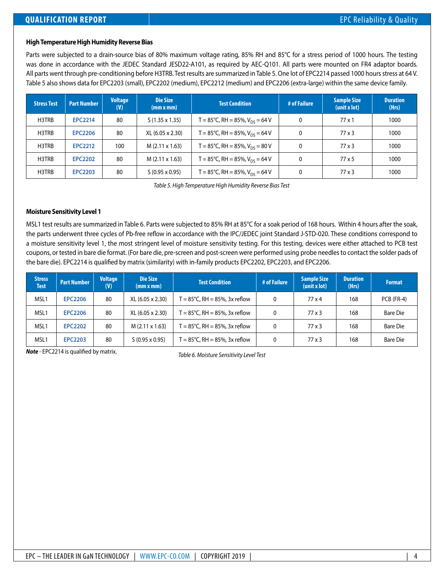#### **High Temperature High Humidity Reverse Bias**

Parts were subjected to a drain-source bias of 80% maximum voltage rating, 85% RH and 85°C for a stress period of 1000 hours. The testing was done in accordance with the JEDEC Standard JESD22-A101, as required by AEC-Q101. All parts were mounted on FR4 adaptor boards. All parts went through pre-conditioning before H3TRB. Test results are summarized in Table 5. One lot of EPC2214 passed 1000 hours stress at 64 V. Table 5 also shows data for EPC2203 (small), EPC2202 (medium), EPC2212 (medium) and EPC2206 (extra-large) within the same device family.

| <b>Stress Test</b> | <b>Part Number</b> | <b>Voltage</b><br>(V) | <b>Die Size</b><br>(mm x mm) | <b>Test Condition</b>               | # of Failure | <b>Sample Size</b><br>(unit x lot) | <b>Duration</b><br>(Hrs) |
|--------------------|--------------------|-----------------------|------------------------------|-------------------------------------|--------------|------------------------------------|--------------------------|
| H3TRB              | <b>EPC2214</b>     | 80                    | $S(1.35 \times 1.35)$        | T = 85°C, RH = 85%, $V_{DS}$ = 64 V | $\mathbf{0}$ | $77 \times 1$                      | 1000                     |
| H3TRB              | <b>EPC2206</b>     | 80                    | XL (6.05 x 2.30)             | T = 85°C, RH = 85%, $V_{DS}$ = 64 V | 0            | $77 \times 3$                      | 1000                     |
| H3TRB              | <b>EPC2212</b>     | 100                   | $M(2.11 \times 1.63)$        | T = 85°C, RH = 85%, $V_{DS}$ = 80 V | 0            | 77 x 3                             | 1000                     |
| H3TRB              | <b>EPC2202</b>     | 80                    | $M(2.11 \times 1.63)$        | T = 85°C, RH = 85%, $V_{DS}$ = 64 V | 0            | $77 \times 5$                      | 1000                     |
| H3TRB              | <b>EPC2203</b>     | 80                    | $S(0.95 \times 0.95)$        | T = 85°C, RH = 85%, $V_{DS}$ = 64 V |              | $77 \times 3$                      | 1000                     |

*Table 5. High Temperature High Humidity Reverse Bias Test*

#### **Moisture Sensitivity Level 1**

MSL1 test results are summarized in Table 6. Parts were subjected to 85% RH at 85°C for a soak period of 168 hours. Within 4 hours after the soak, the parts underwent three cycles of Pb-free reflow in accordance with the IPC/JEDEC joint Standard J-STD-020. These conditions correspond to a moisture sensitivity level 1, the most stringent level of moisture sensitivity testing. For this testing, devices were either attached to PCB test coupons, or tested in bare die format. (For bare die, pre-screen and post-screen were performed using probe needles to contact the solder pads of the bare die). EPC2214 is qualified by matrix (similarity) with in-family products EPC2202, EPC2203, and EPC2206.

| <b>Stress</b><br><b>Test</b> | <b>Part Number</b> | <b>Voltage</b><br>(V) | <b>Die Size</b><br>(mm x mm) | <b>Test Condition</b>                        | # of Failure | <b>Sample Size</b><br>$(\text{unit } x \text{ lot})$ | <b>Duration</b><br>(Hrs) | <b>Format</b>   |
|------------------------------|--------------------|-----------------------|------------------------------|----------------------------------------------|--------------|------------------------------------------------------|--------------------------|-----------------|
| MSL <sub>1</sub>             | <b>EPC2206</b>     | 80                    | XL (6.05 x 2.30)             | $T = 85^{\circ}$ C, RH = 85%, 3x reflow      | 0            | $77 \times 4$                                        | 168                      | PCB (FR-4)      |
| MSL1                         | <b>EPC2206</b>     | 80                    | XL (6.05 x 2.30)             | $T = 85^{\circ}$ C, RH = 85%, 3x reflow      | 0            | $77 \times 3$                                        | 168                      | <b>Bare Die</b> |
| MSL <sub>1</sub>             | <b>EPC2202</b>     | 80                    | $M(2.11 \times 1.63)$        | $T = 85^{\circ}$ C, RH = 85%, 3x reflow      | 0            | $77 \times 3$                                        | 168                      | <b>Bare Die</b> |
| MSL <sub>1</sub>             | <b>EPC2203</b>     | 80                    | $S(0.95 \times 0.95)$        | $\Gamma = 85^{\circ}$ C, RH = 85%, 3x reflow | 0            | 77x3                                                 | 168                      | <b>Bare Die</b> |

*Table 6. Moisture Sensitivity Level Test Note* - EPC2214 is qualified by matrix.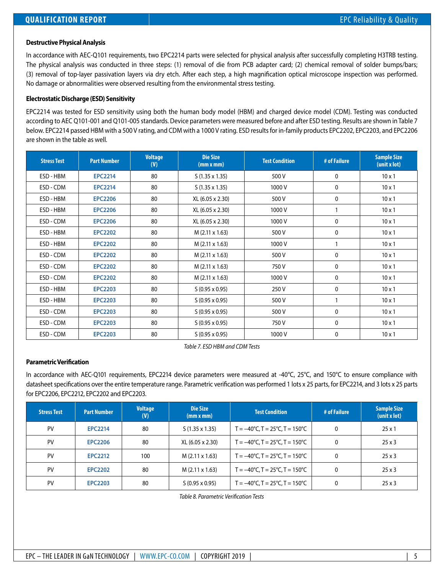# **Destructive Physical Analysis**

In accordance with AEC-Q101 requirements, two EPC2214 parts were selected for physical analysis after successfully completing H3TRB testing. The physical analysis was conducted in three steps: (1) removal of die from PCB adapter card; (2) chemical removal of solder bumps/bars; (3) removal of top-layer passivation layers via dry etch. After each step, a high magnification optical microscope inspection was performed. No damage or abnormalities were observed resulting from the environmental stress testing.

# **Electrostatic Discharge (ESD) Sensitivity**

EPC2214 was tested for ESD sensitivity using both the human body model (HBM) and charged device model (CDM). Testing was conducted according to AEC Q101-001 and Q101-005 standards. Device parameters were measured before and after ESD testing. Results are shown in Table 7 below. EPC2214 passed HBM with a 500 V rating, and CDM with a 1000 V rating. ESD results for in-family products EPC2202, EPC2203, and EPC2206 are shown in the table as well.

| <b>Stress Test</b> | <b>Part Number</b> | <b>Voltage</b><br>(V) | <b>Die Size</b><br>(mm x mm) | <b>Test Condition</b> | # of Failure | <b>Sample Size</b><br>(unit x lot) |
|--------------------|--------------------|-----------------------|------------------------------|-----------------------|--------------|------------------------------------|
| ESD - HBM          | <b>EPC2214</b>     | 80                    | $S(1.35 \times 1.35)$        | 500 V                 | $\mathbf{0}$ | $10 \times 1$                      |
| ESD - CDM          | <b>EPC2214</b>     | 80                    | $S(1.35 \times 1.35)$        | 1000V                 | 0            | $10 \times 1$                      |
| ESD - HBM          | <b>EPC2206</b>     | 80                    | XL (6.05 x 2.30)             | 500V                  | $\mathbf{0}$ | $10 \times 1$                      |
| ESD - HBM          | <b>EPC2206</b>     | 80                    | XL (6.05 x 2.30)             | 1000V                 |              | $10 \times 1$                      |
| ESD - CDM          | <b>EPC2206</b>     | 80                    | XL (6.05 x 2.30)             | 1000V                 | 0            | $10 \times 1$                      |
| ESD - HBM          | <b>EPC2202</b>     | 80                    | M (2.11 x 1.63)              | 500 V                 | 0            | $10 \times 1$                      |
| ESD - HBM          | <b>EPC2202</b>     | 80                    | M (2.11 x 1.63)              | 1000V                 |              | $10 \times 1$                      |
| ESD - CDM          | <b>EPC2202</b>     | 80                    | M (2.11 x 1.63)              | 500 V                 | 0            | $10 \times 1$                      |
| ESD - CDM          | <b>EPC2202</b>     | 80                    | M (2.11 x 1.63)              | 750V                  | 0            | $10 \times 1$                      |
| ESD - CDM          | <b>EPC2202</b>     | 80                    | M (2.11 x 1.63)              | 1000 V                | $\mathbf{0}$ | $10 \times 1$                      |
| ESD - HBM          | <b>EPC2203</b>     | 80                    | $S(0.95 \times 0.95)$        | 250 V                 | 0            | $10 \times 1$                      |
| ESD - HBM          | <b>EPC2203</b>     | 80                    | $S(0.95 \times 0.95)$        | 500 V                 |              | $10 \times 1$                      |
| ESD - CDM          | <b>EPC2203</b>     | 80                    | $S(0.95 \times 0.95)$        | 500 V                 | 0            | $10 \times 1$                      |
| ESD - CDM          | <b>EPC2203</b>     | 80                    | $S(0.95 \times 0.95)$        | 750 V                 | $\mathbf{0}$ | $10 \times 1$                      |
| ESD - CDM          | <b>EPC2203</b>     | 80                    | $S(0.95 \times 0.95)$        | 1000V                 | 0            | $10 \times 1$                      |

*Table 7. ESD HBM and CDM Tests*

### **Parametric Verification**

In accordance with AEC-Q101 requirements, EPC2214 device parameters were measured at -40°C, 25°C, and 150°C to ensure compliance with datasheet specifications over the entire temperature range. Parametric verification was performed 1 lots x 25 parts, for EPC2214, and 3 lots x 25 parts for EPC2206, EPC2212, EPC2202 and EPC2203.

| <b>Stress Test</b> | <b>Part Number</b> | <b>Voltage</b><br>(V) | Die Size<br>(mm x mm) | <b>Test Condition</b>                                          | # of Failure | <b>Sample Size</b><br>(unit x lot) |
|--------------------|--------------------|-----------------------|-----------------------|----------------------------------------------------------------|--------------|------------------------------------|
| PV                 | <b>EPC2214</b>     | 80                    | $S(1.35 \times 1.35)$ | $T = -40^{\circ}C$ , $T = 25^{\circ}C$ , $T = 150^{\circ}C$    | $\mathbf{0}$ | 25x1                               |
| PV                 | <b>EPC2206</b>     | 80                    | XL (6.05 x 2.30)      | $T = -40^{\circ}C$ , $T = 25^{\circ}C$ , $T = 150^{\circ}C$    | 0            | $25 \times 3$                      |
| PV                 | <b>EPC2212</b>     | 100                   | $M(2.11 \times 1.63)$ | $T = -40^{\circ}C$ , $T = 25^{\circ}C$ , $T = 150^{\circ}C$    |              | $25 \times 3$                      |
| PV                 | <b>EPC2202</b>     | 80                    | $M(2.11 \times 1.63)$ | $T = -40^{\circ}C$ , $T = 25^{\circ}C$ , $T = 150^{\circ}C$    |              | $25 \times 3$                      |
| PV                 | <b>EPC2203</b>     | 80                    | $S(0.95 \times 0.95)$ | $T = -40^{\circ}$ C, T = 25 $^{\circ}$ C, T = 150 $^{\circ}$ C | $\Omega$     | $25 \times 3$                      |

*Table 8. Parametric Verification Tests*